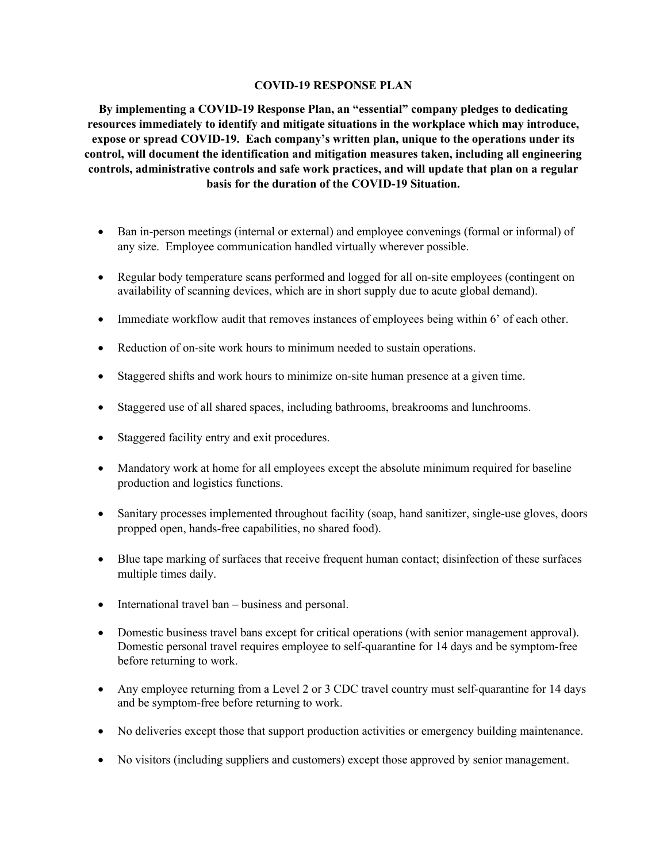## **COVID-19 RESPONSE PLAN**

**By implementing a COVID-19 Response Plan, an "essential" company pledges to dedicating resources immediately to identify and mitigate situations in the workplace which may introduce, expose or spread COVID-19. Each company's written plan, unique to the operations under its control, will document the identification and mitigation measures taken, including all engineering controls, administrative controls and safe work practices, and will update that plan on a regular basis for the duration of the COVID-19 Situation.**

- Ban in-person meetings (internal or external) and employee convenings (formal or informal) of any size. Employee communication handled virtually wherever possible.
- Regular body temperature scans performed and logged for all on-site employees (contingent on availability of scanning devices, which are in short supply due to acute global demand).
- Immediate workflow audit that removes instances of employees being within 6' of each other.
- Reduction of on-site work hours to minimum needed to sustain operations.
- Staggered shifts and work hours to minimize on-site human presence at a given time.
- Staggered use of all shared spaces, including bathrooms, breakrooms and lunchrooms.
- Staggered facility entry and exit procedures.
- Mandatory work at home for all employees except the absolute minimum required for baseline production and logistics functions.
- Sanitary processes implemented throughout facility (soap, hand sanitizer, single-use gloves, doors propped open, hands-free capabilities, no shared food).
- Blue tape marking of surfaces that receive frequent human contact; disinfection of these surfaces multiple times daily.
- International travel ban business and personal.
- Domestic business travel bans except for critical operations (with senior management approval). Domestic personal travel requires employee to self-quarantine for 14 days and be symptom-free before returning to work.
- Any employee returning from a Level 2 or 3 CDC travel country must self-quarantine for 14 days and be symptom-free before returning to work.
- No deliveries except those that support production activities or emergency building maintenance.
- No visitors (including suppliers and customers) except those approved by senior management.